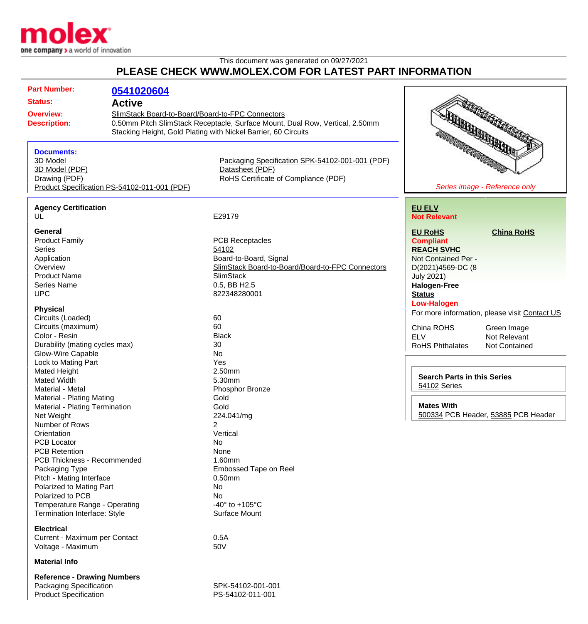

## This document was generated on 09/27/2021 **PLEASE CHECK WWW.MOLEX.COM FOR LATEST PART INFORMATION**

| <b>Part Number:</b>                                | 0541020604                                                     |                                                                              |                                                                                                                                     |                                               |
|----------------------------------------------------|----------------------------------------------------------------|------------------------------------------------------------------------------|-------------------------------------------------------------------------------------------------------------------------------------|-----------------------------------------------|
| <b>Status:</b>                                     | <b>Active</b>                                                  |                                                                              |                                                                                                                                     |                                               |
| <b>Overview:</b>                                   | SlimStack Board-to-Board/Board-to-FPC Connectors               |                                                                              |                                                                                                                                     |                                               |
|                                                    |                                                                | 0.50mm Pitch SlimStack Receptacle, Surface Mount, Dual Row, Vertical, 2.50mm |                                                                                                                                     |                                               |
| <b>Description:</b>                                |                                                                |                                                                              |                                                                                                                                     |                                               |
|                                                    | Stacking Height, Gold Plating with Nickel Barrier, 60 Circuits |                                                                              |                                                                                                                                     | <b>REAL AND CONTROL</b>                       |
|                                                    |                                                                |                                                                              | <b>SURVEYORD</b><br>la Servizione della Carenza della Carenza della Carenza della Carenza della Carenza della Carenza della Carenza |                                               |
| <b>Documents:</b>                                  |                                                                |                                                                              |                                                                                                                                     |                                               |
| 3D Model                                           |                                                                | Packaging Specification SPK-54102-001-001 (PDF)                              |                                                                                                                                     |                                               |
| 3D Model (PDF)                                     |                                                                | Datasheet (PDF)                                                              |                                                                                                                                     |                                               |
| Drawing (PDF)                                      |                                                                | RoHS Certificate of Compliance (PDF)                                         |                                                                                                                                     |                                               |
| Product Specification PS-54102-011-001 (PDF)       |                                                                |                                                                              | Series image - Reference only                                                                                                       |                                               |
|                                                    |                                                                |                                                                              |                                                                                                                                     |                                               |
| <b>Agency Certification</b>                        |                                                                |                                                                              | <b>EU ELV</b>                                                                                                                       |                                               |
| UL                                                 |                                                                | E29179                                                                       | <b>Not Relevant</b>                                                                                                                 |                                               |
|                                                    |                                                                |                                                                              |                                                                                                                                     |                                               |
| General                                            |                                                                |                                                                              | <b>EU RoHS</b>                                                                                                                      | <b>China RoHS</b>                             |
| <b>Product Family</b>                              |                                                                | <b>PCB Receptacles</b>                                                       | <b>Compliant</b>                                                                                                                    |                                               |
| <b>Series</b>                                      |                                                                | 54102                                                                        | <b>REACH SVHC</b>                                                                                                                   |                                               |
| Application                                        |                                                                | Board-to-Board, Signal                                                       | Not Contained Per -                                                                                                                 |                                               |
| Overview                                           |                                                                | SlimStack Board-to-Board/Board-to-FPC Connectors                             | D(2021)4569-DC (8                                                                                                                   |                                               |
| <b>Product Name</b>                                |                                                                | <b>SlimStack</b>                                                             | <b>July 2021)</b>                                                                                                                   |                                               |
| <b>Series Name</b>                                 |                                                                | 0.5, BB H2.5                                                                 | <b>Halogen-Free</b>                                                                                                                 |                                               |
| <b>UPC</b>                                         |                                                                | 822348280001                                                                 | <b>Status</b>                                                                                                                       |                                               |
|                                                    |                                                                |                                                                              | <b>Low-Halogen</b>                                                                                                                  |                                               |
| <b>Physical</b>                                    |                                                                |                                                                              |                                                                                                                                     |                                               |
| Circuits (Loaded)                                  |                                                                | 60                                                                           |                                                                                                                                     | For more information, please visit Contact US |
| Circuits (maximum)                                 |                                                                | 60                                                                           | China ROHS                                                                                                                          | Green Image                                   |
| Color - Resin                                      |                                                                | <b>Black</b>                                                                 | <b>ELV</b>                                                                                                                          | Not Relevant                                  |
| Durability (mating cycles max)                     |                                                                | 30                                                                           |                                                                                                                                     |                                               |
|                                                    |                                                                |                                                                              | <b>RoHS Phthalates</b>                                                                                                              | <b>Not Contained</b>                          |
| Glow-Wire Capable                                  |                                                                | No                                                                           |                                                                                                                                     |                                               |
| Lock to Mating Part                                |                                                                | Yes                                                                          |                                                                                                                                     |                                               |
| Mated Height                                       |                                                                | 2.50mm                                                                       | <b>Search Parts in this Series</b><br>54102 Series                                                                                  |                                               |
| <b>Mated Width</b>                                 |                                                                | 5.30mm                                                                       |                                                                                                                                     |                                               |
| Material - Metal                                   |                                                                | Phosphor Bronze                                                              |                                                                                                                                     |                                               |
| Material - Plating Mating                          |                                                                | Gold                                                                         |                                                                                                                                     |                                               |
| Material - Plating Termination                     |                                                                | Gold                                                                         | <b>Mates With</b>                                                                                                                   |                                               |
| Net Weight                                         |                                                                | 224.041/mg                                                                   |                                                                                                                                     | 500334 PCB Header, 53885 PCB Header           |
| Number of Rows                                     |                                                                | 2                                                                            |                                                                                                                                     |                                               |
| Orientation                                        |                                                                | Vertical                                                                     |                                                                                                                                     |                                               |
| <b>PCB Locator</b>                                 |                                                                | No                                                                           |                                                                                                                                     |                                               |
| <b>PCB Retention</b>                               |                                                                | None                                                                         |                                                                                                                                     |                                               |
| PCB Thickness - Recommended                        |                                                                | 1.60mm                                                                       |                                                                                                                                     |                                               |
| Packaging Type                                     |                                                                | Embossed Tape on Reel                                                        |                                                                                                                                     |                                               |
|                                                    |                                                                | $0.50$ mm                                                                    |                                                                                                                                     |                                               |
| Pitch - Mating Interface                           |                                                                |                                                                              |                                                                                                                                     |                                               |
| Polarized to Mating Part                           |                                                                | No                                                                           |                                                                                                                                     |                                               |
| Polarized to PCB                                   |                                                                | No                                                                           |                                                                                                                                     |                                               |
| Temperature Range - Operating                      |                                                                | -40 $\degree$ to +105 $\degree$ C                                            |                                                                                                                                     |                                               |
| <b>Termination Interface: Style</b>                |                                                                | Surface Mount                                                                |                                                                                                                                     |                                               |
| <b>Electrical</b>                                  |                                                                |                                                                              |                                                                                                                                     |                                               |
|                                                    |                                                                | 0.5A                                                                         |                                                                                                                                     |                                               |
| Current - Maximum per Contact<br>Voltage - Maximum |                                                                | 50V                                                                          |                                                                                                                                     |                                               |
|                                                    |                                                                |                                                                              |                                                                                                                                     |                                               |
| <b>Material Info</b>                               |                                                                |                                                                              |                                                                                                                                     |                                               |

**Reference - Drawing Numbers** Packaging Specification SPK-54102-001-001 Product Specification PS-54102-011-001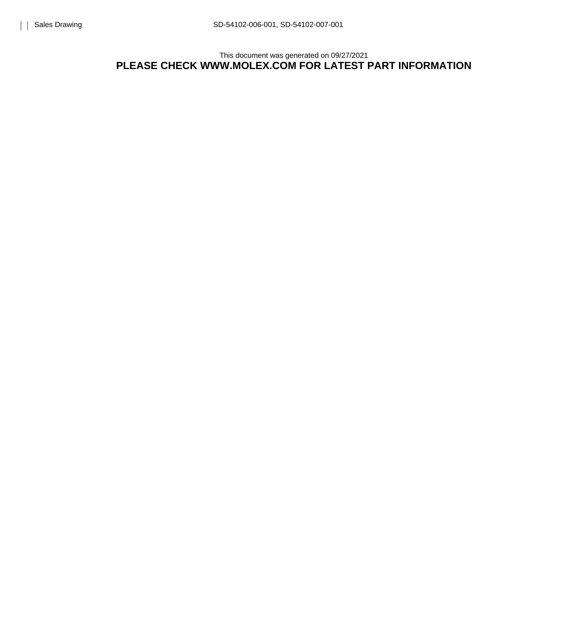This document was generated on 09/27/2021 **PLEASE CHECK WWW.MOLEX.COM FOR LATEST PART INFORMATION**